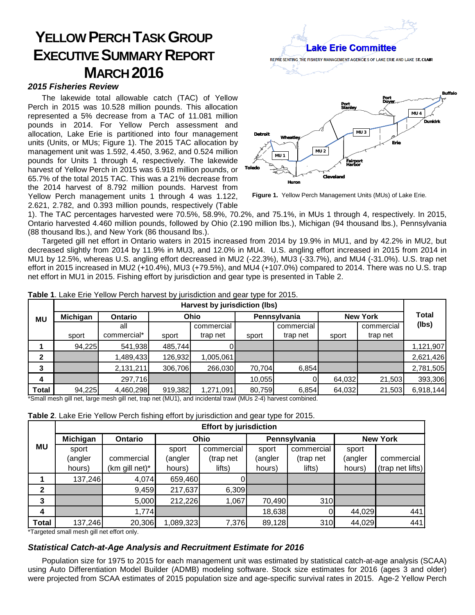## **YELLOW PERCH TASKGROUP EXECUTIVE SUMMARY REPORT MARCH 2016**

## *2015 Fisheries Review*

The lakewide total allowable catch (TAC) of Yellow Perch in 2015 was 10.528 million pounds. This allocation represented a 5% decrease from a TAC of 11.081 million pounds in 2014. For Yellow Perch assessment and allocation, Lake Erie is partitioned into four management units (Units, or MUs; Figure 1). The 2015 TAC allocation by management unit was 1.592, 4.450, 3.962, and 0.524 million pounds for Units 1 through 4, respectively. The lakewide harvest of Yellow Perch in 2015 was 6.918 million pounds, or 65.7% of the total 2015 TAC. This was a 21% decrease from the 2014 harvest of 8.792 million pounds. Harvest from Yellow Perch management units 1 through 4 was 1.122, 2.621, 2.782, and 0.393 million pounds, respectively (Table



**Figure 1.** Yellow Perch Management Units (MUs) of Lake Erie.

1). The TAC percentages harvested were 70.5%, 58.9%, 70.2%, and 75.1%, in MUs 1 through 4, respectively. In 2015, Ontario harvested 4.460 million pounds, followed by Ohio (2.190 million lbs.), Michigan (94 thousand lbs.), Pennsylvania (88 thousand lbs.), and New York (86 thousand lbs.).

Targeted gill net effort in Ontario waters in 2015 increased from 2014 by 19.9% in MU1, and by 42.2% in MU2, but decreased slightly from 2014 by 11.9% in MU3, and 12.0% in MU4. U.S. angling effort increased in 2015 from 2014 in MU1 by 12.5%, whereas U.S. angling effort decreased in MU2 (-22.3%), MU3 (-33.7%), and MU4 (-31.0%). U.S. trap net effort in 2015 increased in MU2 (+10.4%), MU3 (+79.5%), and MU4 (+107.0%) compared to 2014. There was no U.S. trap net effort in MU1 in 2015. Fishing effort by jurisdiction and gear type is presented in Table 2.

|              | Harvest by jurisdiction (lbs) |                                                                                                                                                        |         |            |              |            |                 |            |              |
|--------------|-------------------------------|--------------------------------------------------------------------------------------------------------------------------------------------------------|---------|------------|--------------|------------|-----------------|------------|--------------|
| MU           | Michigan                      | <b>Ontario</b>                                                                                                                                         |         | Ohio       | Pennsylvania |            | <b>New York</b> |            | <b>Total</b> |
|              |                               | all                                                                                                                                                    |         | commercial |              | commercial |                 | commercial | (lbs)        |
|              | sport                         | commercial*                                                                                                                                            | sport   | trap net   | sport        | trap net   | sport           | trap net   |              |
|              | 94,225                        | 541,938                                                                                                                                                | 485,744 |            |              |            |                 |            | 1,121,907    |
|              |                               | 1,489,433                                                                                                                                              | 126,932 | 1,005,061  |              |            |                 |            | 2,621,426    |
| 3            |                               | 2,131,211                                                                                                                                              | 306,706 | 266,030    | 70,704       | 6,854      |                 |            | 2,781,505    |
| 4            |                               | 297,716                                                                                                                                                |         |            | 10,055       |            | 64,032          | 21,503     | 393,306      |
| <b>Total</b> | 94,225                        | 4,460,298<br><b>*O</b> and the color of the contract the color of the second (NATTA) and the statement could (NATTE OF A) the contract of could be all | 919,382 | 1,271,091  | 80,759       | 6,854      | 64,032          | 21,503     | 6,918,144    |

**Table 1**. Lake Erie Yellow Perch harvest by jurisdiction and gear type for 2015.

\*Small mesh gill net, large mesh gill net, trap net (MU1), and incidental trawl (MUs 2-4) harvest combined.

| Table 2. Lake Erie Yellow Perch fishing effort by jurisdiction and gear type for 2015. |  |  |  |
|----------------------------------------------------------------------------------------|--|--|--|
|----------------------------------------------------------------------------------------|--|--|--|

|              | <b>Effort by jurisdiction</b> |                   |           |            |              |                  |                 |                  |  |  |
|--------------|-------------------------------|-------------------|-----------|------------|--------------|------------------|-----------------|------------------|--|--|
| <b>MU</b>    | Michigan                      | <b>Ontario</b>    |           | Ohio       | Pennsylvania |                  | <b>New York</b> |                  |  |  |
|              | sport                         |                   | sport     | commercial | sport        | commercial       | sport           |                  |  |  |
|              | (angler                       | commercial        | (angler   | (trap net  | (angler      | (trap net        | (angler         | commercial       |  |  |
|              | hours)                        | $(km)$ gill net)* | hours)    | lifts)     | hours)       | lifts)           | hours)          | (trap net lifts) |  |  |
|              | 137,246                       | 4,074             | 659,460   |            |              |                  |                 |                  |  |  |
| $\mathbf{2}$ |                               | 9,459             | 217,637   | 6,309      |              |                  |                 |                  |  |  |
| 3            |                               | 5,000             | 212,226   | 1,067      | 70,490       | 310 <sup>1</sup> |                 |                  |  |  |
| 4            |                               | 1,774             |           |            | 18,638       |                  | 44,029          | 441              |  |  |
| <b>Total</b> | 137,246                       | 20,306            | 1,089,323 | 7,376      | 89,128       | 310              | 44,029          | 441              |  |  |

\*Targeted small mesh gill net effort only.

## *Statistical Catch-at-Age Analysis and Recruitment Estimate for 2016*

Population size for 1975 to 2015 for each management unit was estimated by statistical catch-at-age analysis (SCAA) using Auto Differentiation Model Builder (ADMB) modeling software. Stock size estimates for 2016 (ages 3 and older) were projected from SCAA estimates of 2015 population size and age-specific survival rates in 2015. Age-2 Yellow Perch